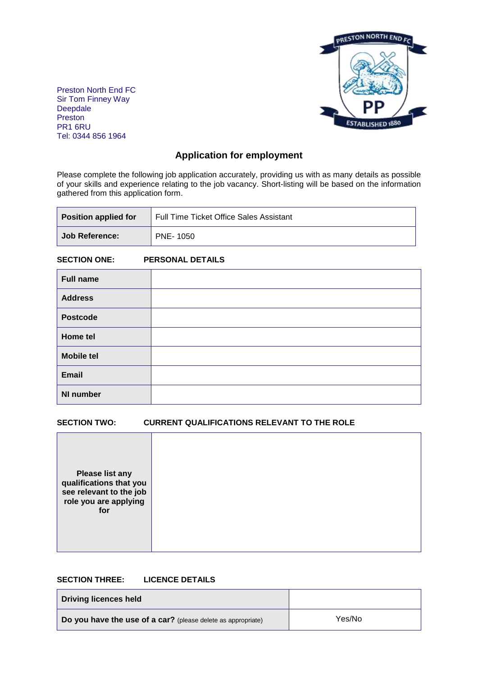

Preston North End FC Sir Tom Finney Way Deepdale Preston PR1 6RU Tel: 0344 856 1964

# **Application for employment**

Please complete the following job application accurately, providing us with as many details as possible of your skills and experience relating to the job vacancy. Short-listing will be based on the information gathered from this application form.

| <b>Position applied for</b> | <b>Full Time Ticket Office Sales Assistant</b> |  |
|-----------------------------|------------------------------------------------|--|
| Job Reference:              | PNE- 1050                                      |  |

## **SECTION ONE: PERSONAL DETAILS**

| <b>Full name</b>  |  |
|-------------------|--|
| <b>Address</b>    |  |
| <b>Postcode</b>   |  |
| Home tel          |  |
| <b>Mobile tel</b> |  |
| Email             |  |
| <b>NI number</b>  |  |

#### **SECTION TWO: CURRENT QUALIFICATIONS RELEVANT TO THE ROLE**

| <b>Please list any</b><br>qualifications that you<br>see relevant to the job<br>role you are applying<br>for |
|--------------------------------------------------------------------------------------------------------------|
|--------------------------------------------------------------------------------------------------------------|

#### **SECTION THREE: LICENCE DETAILS**

| Driving licences held                                        |        |
|--------------------------------------------------------------|--------|
| Do you have the use of a car? (please delete as appropriate) | Yes/No |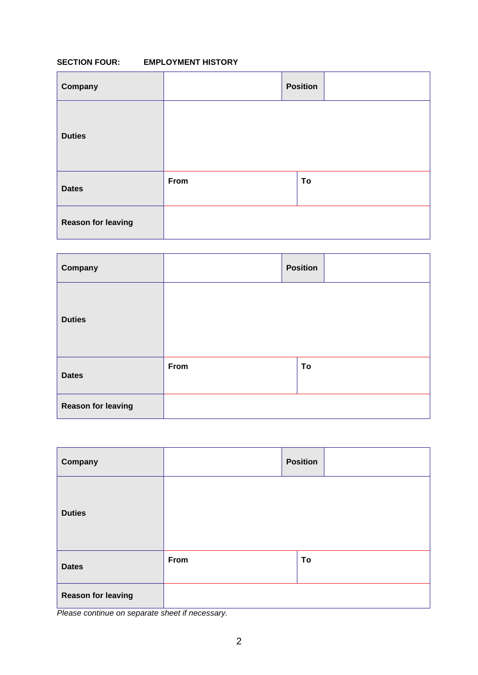## **SECTION FOUR: EMPLOYMENT HISTORY**

| Company                   |      | <b>Position</b> |  |
|---------------------------|------|-----------------|--|
| <b>Duties</b>             |      |                 |  |
| <b>Dates</b>              | From | To              |  |
| <b>Reason for leaving</b> |      |                 |  |

| Company                   |      | <b>Position</b> |  |
|---------------------------|------|-----------------|--|
| <b>Duties</b>             |      |                 |  |
| <b>Dates</b>              | From | To              |  |
| <b>Reason for leaving</b> |      |                 |  |

| Company                   |      | <b>Position</b> |  |
|---------------------------|------|-----------------|--|
| <b>Duties</b>             |      |                 |  |
| <b>Dates</b>              | From | To              |  |
| <b>Reason for leaving</b> |      |                 |  |

*Please continue on separate sheet if necessary.*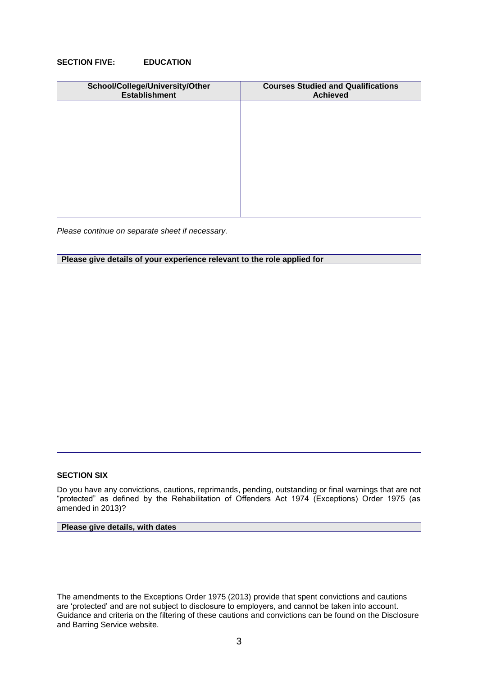#### **SECTION FIVE: EDUCATION**

| School/College/University/Other<br><b>Establishment</b> | <b>Courses Studied and Qualifications</b><br><b>Achieved</b> |
|---------------------------------------------------------|--------------------------------------------------------------|
|                                                         |                                                              |
|                                                         |                                                              |
|                                                         |                                                              |
|                                                         |                                                              |
|                                                         |                                                              |
|                                                         |                                                              |

*Please continue on separate sheet if necessary.*

|  | Please give details of your experience relevant to the role applied for |  |  |  |
|--|-------------------------------------------------------------------------|--|--|--|
|  |                                                                         |  |  |  |
|  |                                                                         |  |  |  |
|  |                                                                         |  |  |  |
|  |                                                                         |  |  |  |
|  |                                                                         |  |  |  |
|  |                                                                         |  |  |  |
|  |                                                                         |  |  |  |
|  |                                                                         |  |  |  |
|  |                                                                         |  |  |  |
|  |                                                                         |  |  |  |
|  |                                                                         |  |  |  |
|  |                                                                         |  |  |  |
|  |                                                                         |  |  |  |
|  |                                                                         |  |  |  |
|  |                                                                         |  |  |  |
|  |                                                                         |  |  |  |
|  |                                                                         |  |  |  |
|  |                                                                         |  |  |  |
|  |                                                                         |  |  |  |
|  |                                                                         |  |  |  |
|  |                                                                         |  |  |  |
|  |                                                                         |  |  |  |
|  |                                                                         |  |  |  |
|  |                                                                         |  |  |  |
|  |                                                                         |  |  |  |
|  |                                                                         |  |  |  |
|  |                                                                         |  |  |  |
|  |                                                                         |  |  |  |
|  |                                                                         |  |  |  |

#### **SECTION SIX**

Do you have any convictions, cautions, reprimands, pending, outstanding or final warnings that are not "protected" as defined by the Rehabilitation of Offenders Act 1974 (Exceptions) Order 1975 (as amended in 2013)?

## **Please give details, with dates**

The amendments to the Exceptions Order 1975 (2013) provide that spent convictions and cautions are 'protected' and are not subject to disclosure to employers, and cannot be taken into account. Guidance and criteria on the filtering of these cautions and convictions can be found on the Disclosure and Barring Service website.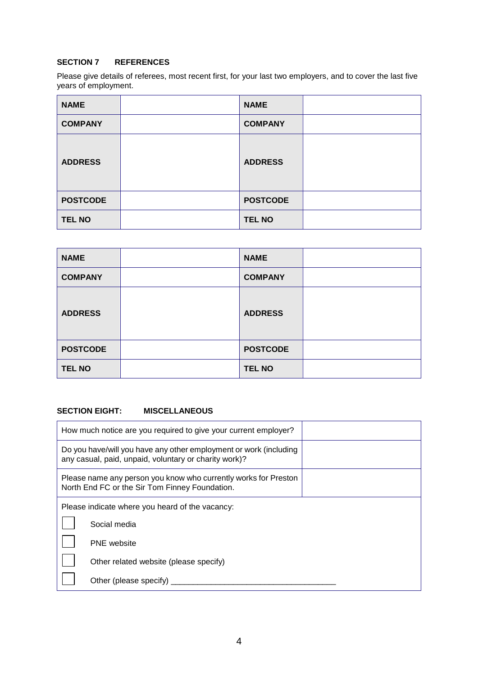## **SECTION 7 REFERENCES**

Please give details of referees, most recent first, for your last two employers, and to cover the last five years of employment.

| <b>NAME</b>     | <b>NAME</b>     |  |
|-----------------|-----------------|--|
| <b>COMPANY</b>  | <b>COMPANY</b>  |  |
| <b>ADDRESS</b>  | <b>ADDRESS</b>  |  |
| <b>POSTCODE</b> | <b>POSTCODE</b> |  |
| <b>TEL NO</b>   | <b>TEL NO</b>   |  |

| <b>NAME</b>     | <b>NAME</b>     |  |
|-----------------|-----------------|--|
| <b>COMPANY</b>  | <b>COMPANY</b>  |  |
| <b>ADDRESS</b>  | <b>ADDRESS</b>  |  |
| <b>POSTCODE</b> | <b>POSTCODE</b> |  |
| <b>TEL NO</b>   | <b>TEL NO</b>   |  |

## **SECTION EIGHT: MISCELLANEOUS**

| How much notice are you required to give your current employer?                                                            |  |  |
|----------------------------------------------------------------------------------------------------------------------------|--|--|
| Do you have/will you have any other employment or work (including<br>any casual, paid, unpaid, voluntary or charity work)? |  |  |
| Please name any person you know who currently works for Preston<br>North End FC or the Sir Tom Finney Foundation.          |  |  |
| Please indicate where you heard of the vacancy:                                                                            |  |  |
| Social media                                                                                                               |  |  |
| <b>PNE</b> website                                                                                                         |  |  |
| Other related website (please specify)                                                                                     |  |  |
| Other (please specify)                                                                                                     |  |  |